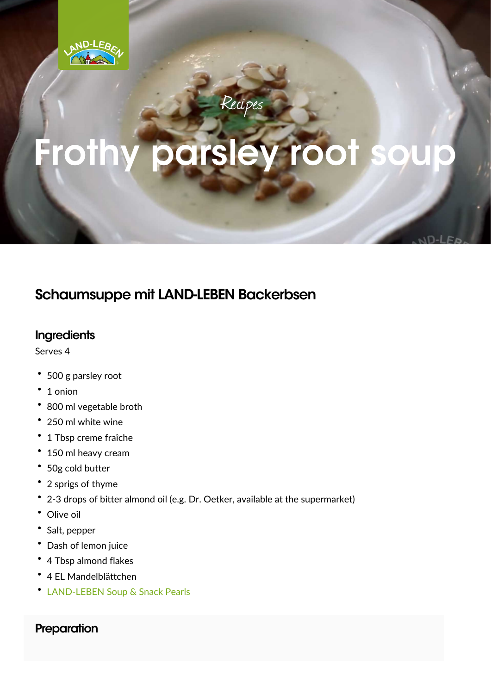## Schaumsuppe mit LAND-LEBEN Backerbsen

Ingredients Serves 4  $\frac{1}{11}$  500 g parsley root "1 onion "800 ml vegetable broth  $\frac{1}{1}$  250 ml white wine  $\mathsf{''}$  1 Tbsp creme fraîche<br>Ⅱ n 150 ml heavy cream<br>" ...<br>... 50g cold butter  $\frac{1}{1}$  2 sprigs of thyme  $\frac{2}{1}$  2-3 drops of bitter almond oil (e.g. Dr. Oetker, available at the su "Olive oil "Salt, pepper "Dash of lemon juice " 4 Tbsp almond flakes " 4 EL Mandelblättchen<br>" [LAND-LEBEN Soup & S](https://www.land-leben.com/en/product/soup-snack-pearls/)nack Pearls

Preparation